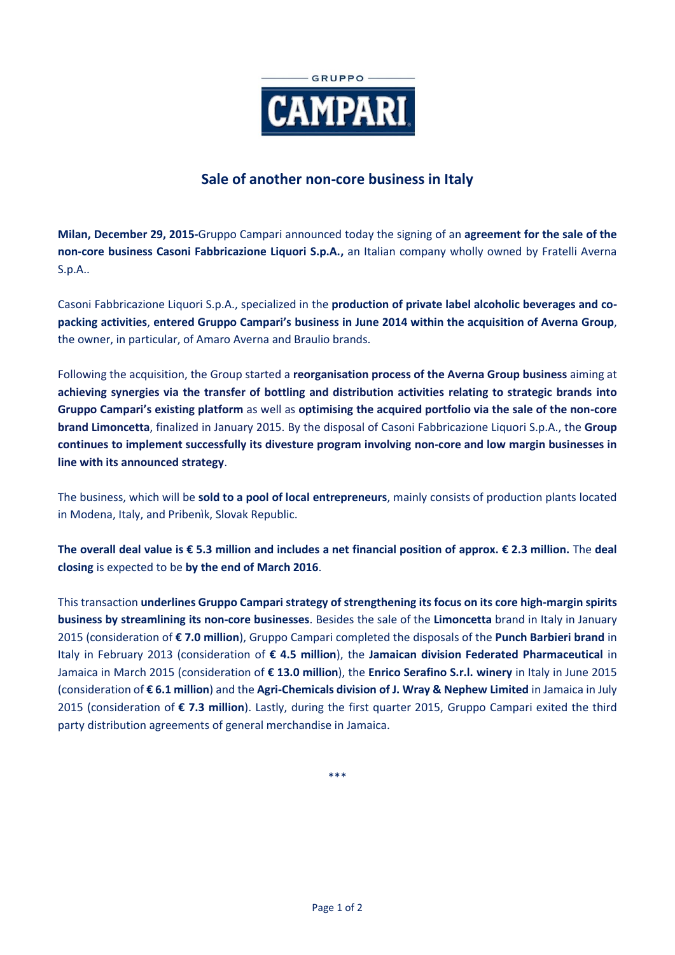

## **Sale of another non-core business in Italy**

**Milan, December 29, 2015-**Gruppo Campari announced today the signing of an **agreement for the sale of the non-core business Casoni Fabbricazione Liquori S.p.A.,** an Italian company wholly owned by Fratelli Averna S.p.A..

Casoni Fabbricazione Liquori S.p.A., specialized in the **production of private label alcoholic beverages and copacking activities**, **entered Gruppo Campari's business in June 2014 within the acquisition of Averna Group**, the owner, in particular, of Amaro Averna and Braulio brands.

Following the acquisition, the Group started a **reorganisation process of the Averna Group business** aiming at **achieving synergies via the transfer of bottling and distribution activities relating to strategic brands into Gruppo Campari's existing platform** as well as **optimising the acquired portfolio via the sale of the non-core brand Limoncetta**, finalized in January 2015. By the disposal of Casoni Fabbricazione Liquori S.p.A., the **Group continues to implement successfully its divesture program involving non-core and low margin businesses in line with its announced strategy**.

The business, which will be **sold to a pool of local entrepreneurs**, mainly consists of production plants located in Modena, Italy, and Pribenìk, Slovak Republic.

**The overall deal value is € 5.3 million and includes a net financial position of approx. € 2.3 million.** The **deal closing** is expected to be **by the end of March 2016**.

This transaction **underlines Gruppo Campari strategy of strengthening its focus on its core high-margin spirits business by streamlining its non-core businesses**. Besides the sale of the **Limoncetta** brand in Italy in January 2015 (consideration of **€ 7.0 million**), Gruppo Campari completed the disposals of the **Punch Barbieri brand** in Italy in February 2013 (consideration of **€ 4.5 million**), the **Jamaican division Federated Pharmaceutical** in Jamaica in March 2015 (consideration of **€ 13.0 million**), the **Enrico Serafino S.r.l. winery** in Italy in June 2015 (consideration of **€ 6.1 million**) and the **Agri-Chemicals division of J. Wray & Nephew Limited** in Jamaica in July 2015 (consideration of **€ 7.3 million**). Lastly, during the first quarter 2015, Gruppo Campari exited the third party distribution agreements of general merchandise in Jamaica.

\*\*\*